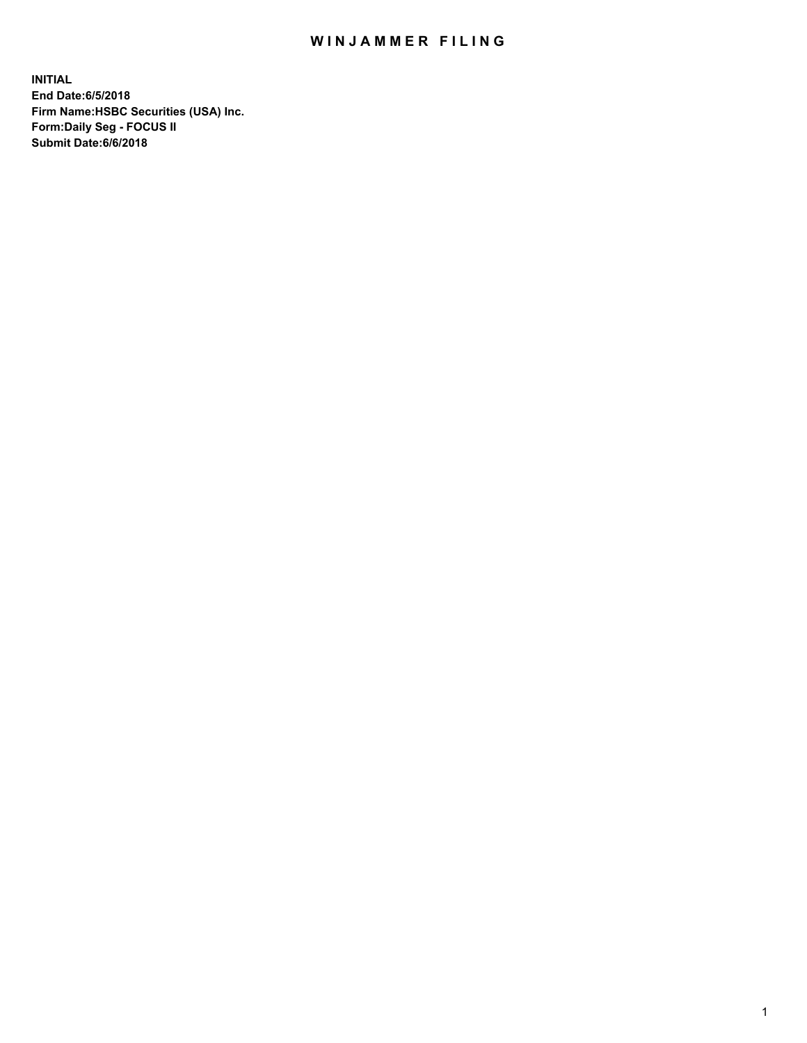## WIN JAMMER FILING

**INITIAL End Date:6/5/2018 Firm Name:HSBC Securities (USA) Inc. Form:Daily Seg - FOCUS II Submit Date:6/6/2018**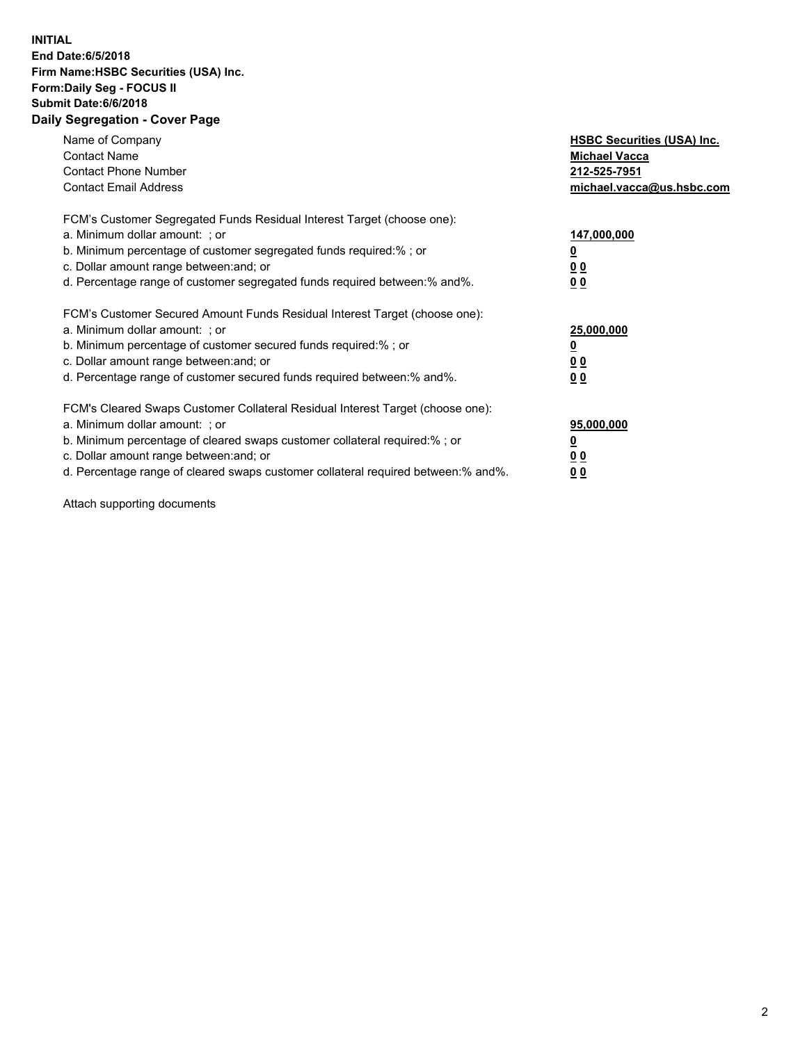## **INITIAL End Date:6/5/2018 Firm Name:HSBC Securities (USA) Inc. Form:Daily Seg - FOCUS II Submit Date:6/6/2018 Daily Segregation - Cover Page**

| Name of Company<br><b>Contact Name</b><br><b>Contact Phone Number</b><br><b>Contact Email Address</b>                                                                                                                                                                                                                          | <b>HSBC Securities (USA) Inc.</b><br><b>Michael Vacca</b><br>212-525-7951<br>michael.vacca@us.hsbc.com |
|--------------------------------------------------------------------------------------------------------------------------------------------------------------------------------------------------------------------------------------------------------------------------------------------------------------------------------|--------------------------------------------------------------------------------------------------------|
| FCM's Customer Segregated Funds Residual Interest Target (choose one):<br>a. Minimum dollar amount: ; or<br>b. Minimum percentage of customer segregated funds required:%; or<br>c. Dollar amount range between: and; or<br>d. Percentage range of customer segregated funds required between: % and %.                        | 147,000,000<br><u>0</u><br><u>00</u><br>0 <sub>0</sub>                                                 |
| FCM's Customer Secured Amount Funds Residual Interest Target (choose one):<br>a. Minimum dollar amount: ; or<br>b. Minimum percentage of customer secured funds required:%; or<br>c. Dollar amount range between: and; or<br>d. Percentage range of customer secured funds required between:% and%.                            | 25,000,000<br><u>0</u><br><u>00</u><br>00                                                              |
| FCM's Cleared Swaps Customer Collateral Residual Interest Target (choose one):<br>a. Minimum dollar amount: ; or<br>b. Minimum percentage of cleared swaps customer collateral required:% ; or<br>c. Dollar amount range between: and; or<br>d. Percentage range of cleared swaps customer collateral required between:% and%. | 95,000,000<br><u>0</u><br><u>00</u><br><u>00</u>                                                       |

Attach supporting documents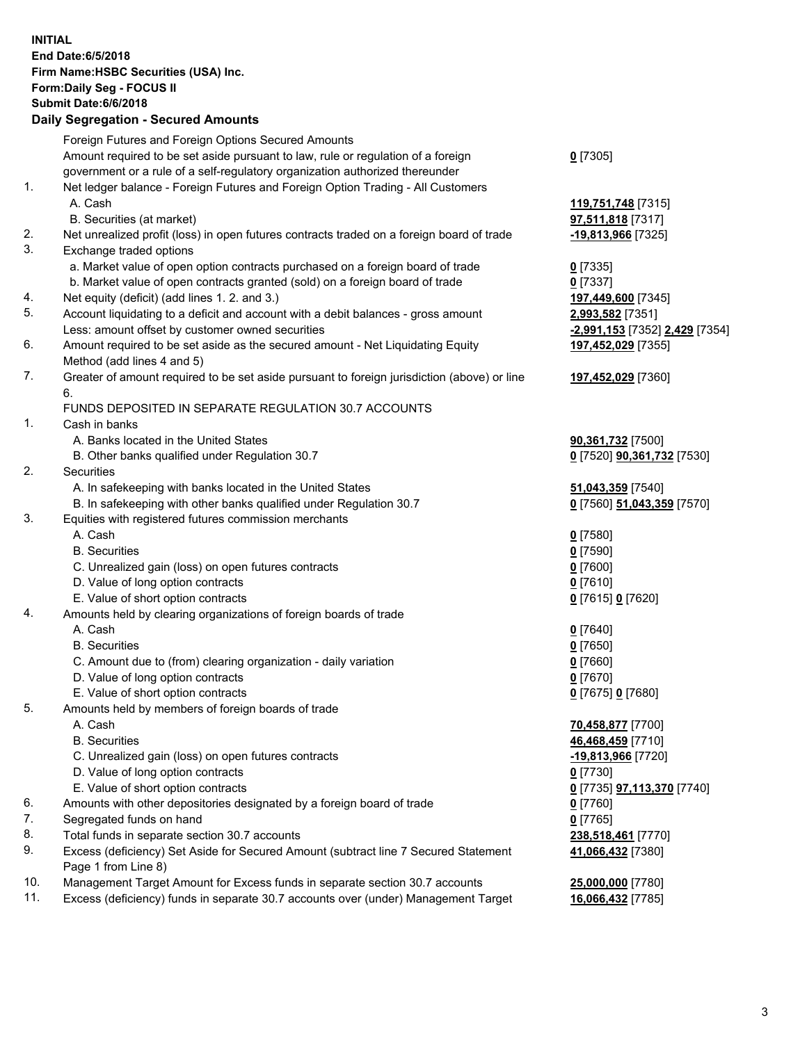**INITIAL End Date:6/5/2018 Firm Name:HSBC Securities (USA) Inc. Form:Daily Seg - FOCUS II Submit Date:6/6/2018 Daily Segregation - Secured Amounts** Foreign Futures and Foreign Options Secured Amounts Amount required to be set aside pursuant to law, rule or regulation of a foreign government or a rule of a self-regulatory organization authorized thereunder **0** [7305] 1. Net ledger balance - Foreign Futures and Foreign Option Trading - All Customers A. Cash **119,751,748** [7315] B. Securities (at market) **97,511,818** [7317] 2. Net unrealized profit (loss) in open futures contracts traded on a foreign board of trade **-19,813,966** [7325] 3. Exchange traded options a. Market value of open option contracts purchased on a foreign board of trade **0** [7335] b. Market value of open contracts granted (sold) on a foreign board of trade **0** [7337] 4. Net equity (deficit) (add lines 1. 2. and 3.) **197,449,600** [7345] 5. Account liquidating to a deficit and account with a debit balances - gross amount **2,993,582** [7351] Less: amount offset by customer owned securities **-2,991,153** [7352] **2,429** [7354] 6. Amount required to be set aside as the secured amount - Net Liquidating Equity Method (add lines 4 and 5) **197,452,029** [7355] 7. Greater of amount required to be set aside pursuant to foreign jurisdiction (above) or line 6. **197,452,029** [7360] FUNDS DEPOSITED IN SEPARATE REGULATION 30.7 ACCOUNTS 1. Cash in banks A. Banks located in the United States **90,361,732** [7500] B. Other banks qualified under Regulation 30.7 **0** [7520] **90,361,732** [7530] 2. Securities A. In safekeeping with banks located in the United States **51,043,359** [7540] B. In safekeeping with other banks qualified under Regulation 30.7 **0** [7560] **51,043,359** [7570] 3. Equities with registered futures commission merchants A. Cash **0** [7580] B. Securities **0** [7590] C. Unrealized gain (loss) on open futures contracts **0** [7600] D. Value of long option contracts **0** [7610] E. Value of short option contracts **0** [7615] **0** [7620] 4. Amounts held by clearing organizations of foreign boards of trade A. Cash **0** [7640] B. Securities **0** [7650] C. Amount due to (from) clearing organization - daily variation **0** [7660] D. Value of long option contracts **0** [7670] E. Value of short option contracts **0** [7675] **0** [7680] 5. Amounts held by members of foreign boards of trade A. Cash **70,458,877** [7700] B. Securities **46,468,459** [7710] C. Unrealized gain (loss) on open futures contracts **-19,813,966** [7720] D. Value of long option contracts **0** [7730] E. Value of short option contracts **0** [7735] **97,113,370** [7740] 6. Amounts with other depositories designated by a foreign board of trade **0** [7760] 7. Segregated funds on hand **0** [7765] 8. Total funds in separate section 30.7 accounts **238,518,461** [7770] 9. Excess (deficiency) Set Aside for Secured Amount (subtract line 7 Secured Statement Page 1 from Line 8) **41,066,432** [7380] 10. Management Target Amount for Excess funds in separate section 30.7 accounts **25,000,000** [7780] 11. Excess (deficiency) funds in separate 30.7 accounts over (under) Management Target **16,066,432** [7785]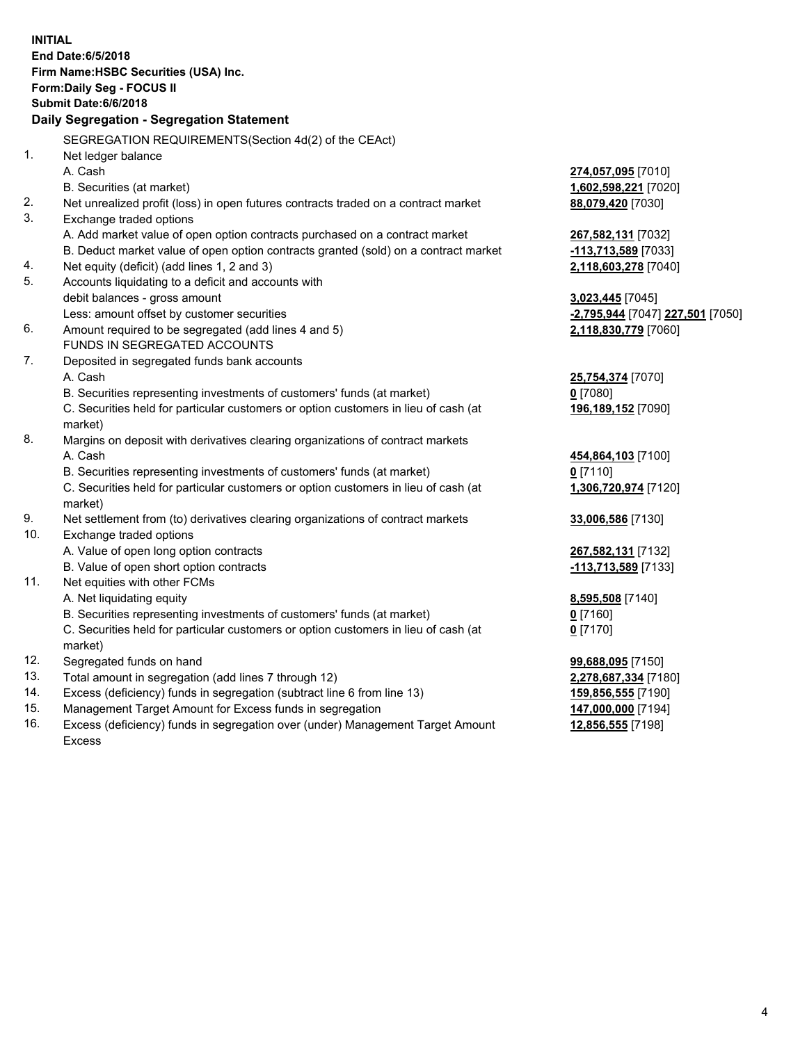|     | <b>INITIAL</b><br>End Date: 6/5/2018<br>Firm Name: HSBC Securities (USA) Inc.<br>Form: Daily Seg - FOCUS II<br><b>Submit Date:6/6/2018</b><br>Daily Segregation - Segregation Statement |                                  |
|-----|-----------------------------------------------------------------------------------------------------------------------------------------------------------------------------------------|----------------------------------|
|     | SEGREGATION REQUIREMENTS(Section 4d(2) of the CEAct)                                                                                                                                    |                                  |
| 1.  | Net ledger balance                                                                                                                                                                      |                                  |
|     | A. Cash                                                                                                                                                                                 | 274,057,095 [7010]               |
|     | B. Securities (at market)                                                                                                                                                               | 1,602,598,221 [7020]             |
| 2.  | Net unrealized profit (loss) in open futures contracts traded on a contract market                                                                                                      | 88,079,420 [7030]                |
| 3.  | Exchange traded options                                                                                                                                                                 |                                  |
|     | A. Add market value of open option contracts purchased on a contract market                                                                                                             | 267,582,131 [7032]               |
|     | B. Deduct market value of open option contracts granted (sold) on a contract market                                                                                                     | -113,713,589 [7033]              |
| 4.  | Net equity (deficit) (add lines 1, 2 and 3)                                                                                                                                             | 2,118,603,278 [7040]             |
| 5.  | Accounts liquidating to a deficit and accounts with                                                                                                                                     |                                  |
|     | debit balances - gross amount                                                                                                                                                           | 3,023,445 [7045]                 |
|     | Less: amount offset by customer securities                                                                                                                                              | -2,795,944 [7047] 227,501 [7050] |
| 6.  | Amount required to be segregated (add lines 4 and 5)                                                                                                                                    | 2,118,830,779 [7060]             |
|     | FUNDS IN SEGREGATED ACCOUNTS                                                                                                                                                            |                                  |
| 7.  | Deposited in segregated funds bank accounts                                                                                                                                             |                                  |
|     | A. Cash                                                                                                                                                                                 | 25,754,374 [7070]                |
|     | B. Securities representing investments of customers' funds (at market)                                                                                                                  | $0$ [7080]                       |
|     | C. Securities held for particular customers or option customers in lieu of cash (at                                                                                                     | 196,189,152 [7090]               |
|     | market)                                                                                                                                                                                 |                                  |
| 8.  | Margins on deposit with derivatives clearing organizations of contract markets                                                                                                          |                                  |
|     | A. Cash                                                                                                                                                                                 | 454,864,103 [7100]               |
|     | B. Securities representing investments of customers' funds (at market)                                                                                                                  | $0$ [7110]                       |
|     | C. Securities held for particular customers or option customers in lieu of cash (at<br>market)                                                                                          | 1,306,720,974 [7120]             |
| 9.  | Net settlement from (to) derivatives clearing organizations of contract markets                                                                                                         | 33,006,586 [7130]                |
| 10. | Exchange traded options                                                                                                                                                                 |                                  |
|     | A. Value of open long option contracts                                                                                                                                                  | 267,582,131 [7132]               |
|     | B. Value of open short option contracts                                                                                                                                                 | -113,713,589 [7133]              |
| 11. | Net equities with other FCMs                                                                                                                                                            |                                  |
|     | A. Net liquidating equity                                                                                                                                                               | 8,595,508 [7140]                 |
|     | B. Securities representing investments of customers' funds (at market)                                                                                                                  | 0 [7160]                         |
|     | C. Securities held for particular customers or option customers in lieu of cash (at                                                                                                     | $0$ [7170]                       |
|     | market)                                                                                                                                                                                 |                                  |
| 12. | Segregated funds on hand                                                                                                                                                                | 99,688,095 [7150]                |
| 13. | Total amount in segregation (add lines 7 through 12)                                                                                                                                    | 2,278,687,334 [7180]             |
| 14. | Excess (deficiency) funds in segregation (subtract line 6 from line 13)                                                                                                                 | 159,856,555 [7190]               |
| 15. | Management Target Amount for Excess funds in segregation                                                                                                                                | 147,000,000 [7194]               |
| 16. | Excess (deficiency) funds in segregation over (under) Management Target Amount                                                                                                          | 12,856,555 [7198]                |

16. Excess (deficiency) funds in segregation over (under) Management Target Amount Excess